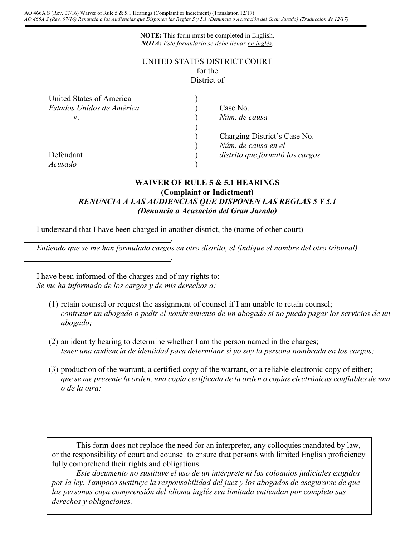**NOTE:** This form must be completed in English. *NOTA: Este formulario se debe llenar en inglés.*

## UNITED STATES DISTRICT COURT for the District of

| United States of America  |                                 |
|---------------------------|---------------------------------|
| Estados Unidos de América | Case No.                        |
| V.                        | Núm. de causa                   |
|                           |                                 |
|                           | Charging District's Case No.    |
|                           | Núm. de causa en el             |
| Defendant                 | distrito que formuló los cargos |
| Acusado                   |                                 |

## **WAIVER OF RULE 5 & 5.1 HEARINGS (Complaint or Indictment)** *RENUNCIA A LAS AUDIENCIAS QUE DISPONEN LAS REGLAS 5 Y 5.1 (Denuncia o Acusación del Gran Jurado)*

I understand that I have been charged in another district, the (name of other court) .

.

*Entiendo que se me han formulado cargos en otro distrito, el (indique el nombre del otro tribunal)*

I have been informed of the charges and of my rights to: *Se me ha informado de los cargos y de mis derechos a:*

- (1) retain counsel or request the assignment of counsel if I am unable to retain counsel; *contratar un abogado o pedir el nombramiento de un abogado si no puedo pagar los servicios de un abogado;*
- (2) an identity hearing to determine whether I am the person named in the charges; *tener una audiencia de identidad para determinar si yo soy la persona nombrada en los cargos;*
- (3) production of the warrant, a certified copy of the warrant, or a reliable electronic copy of either; *que se me presente la orden, una copia certificada de la orden o copias electrónicas confiables de una o de la otra;*

This form does not replace the need for an interpreter, any colloquies mandated by law, or the responsibility of court and counsel to ensure that persons with limited English proficiency fully comprehend their rights and obligations.

*Este documento no sustituye el uso de un intérprete ni los coloquios judiciales exigidos por la ley. Tampoco sustituye la responsabilidad del juez y los abogados de asegurarse de que las personas cuya comprensión del idioma inglés sea limitada entiendan por completo sus derechos y obligaciones.*